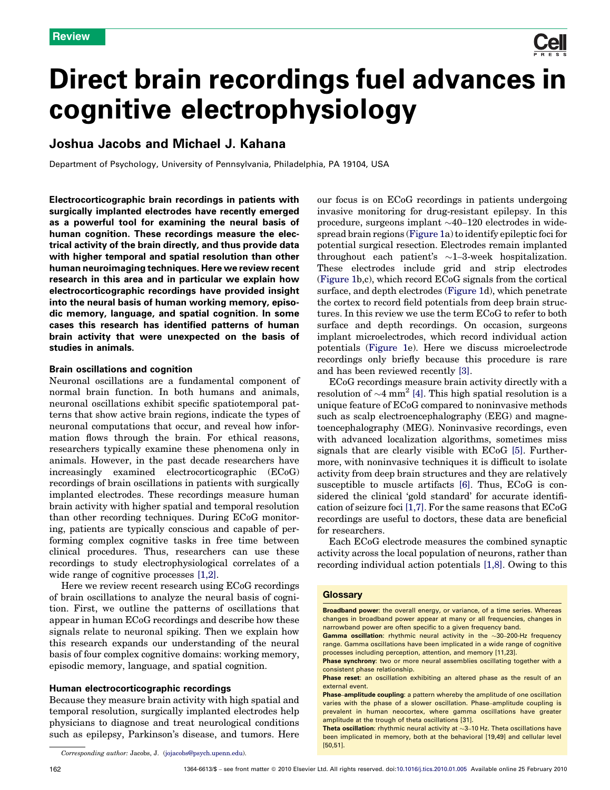# Direct brain recordings fuel advances in cognitive electrophysiology

# Joshua Jacobs and Michael J. Kahana

Department of Psychology, University of Pennsylvania, Philadelphia, PA 19104, USA

Electrocorticographic brain recordings in patients with surgically implanted electrodes have recently emerged as a powerful tool for examining the neural basis of human cognition. These recordings measure the electrical activity of the brain directly, and thus provide data with higher temporal and spatial resolution than other human neuroimaging techniques. Here we review recent research in this area and in particular we explain how electrocorticographic recordings have provided insight into the neural basis of human working memory, episodic memory, language, and spatial cognition. In some cases this research has identified patterns of human brain activity that were unexpected on the basis of studies in animals.

# Brain oscillations and cognition

Neuronal oscillations are a fundamental component of normal brain function. In both humans and animals, neuronal oscillations exhibit specific spatiotemporal patterns that show active brain regions, indicate the types of neuronal computations that occur, and reveal how information flows through the brain. For ethical reasons, researchers typically examine these phenomena only in animals. However, in the past decade researchers have increasingly examined electrocorticographic (ECoG) recordings of brain oscillations in patients with surgically implanted electrodes. These recordings measure human brain activity with higher spatial and temporal resolution than other recording techniques. During ECoG monitoring, patients are typically conscious and capable of performing complex cognitive tasks in free time between clinical procedures. Thus, researchers can use these recordings to study electrophysiological correlates of a wide range of cognitive processes [\[1,2\]](#page-7-0).

Here we review recent research using ECoG recordings of brain oscillations to analyze the neural basis of cognition. First, we outline the patterns of oscillations that appear in human ECoG recordings and describe how these signals relate to neuronal spiking. Then we explain how this research expands our understanding of the neural basis of four complex cognitive domains: working memory, episodic memory, language, and spatial cognition.

# Human electrocorticographic recordings

Because they measure brain activity with high spatial and temporal resolution, surgically implanted electrodes help physicians to diagnose and treat neurological conditions such as epilepsy, Parkinson's disease, and tumors. Here

162 1364-6613/\$ – see front matter - 2010 Elsevier Ltd. All rights reserved. doi[:10.1016/j.tics.2010.01.005](http://dx.doi.org/10.1016/j.tics.2010.01.005) Available online 25 February 2010

implant microelectrodes, which record individual action potentials [\(Figure 1e](#page-1-0)). Here we discuss microelectrode recordings only briefly because this procedure is rare and has been reviewed recently [\[3\].](#page-7-0) ECoG recordings measure brain activity directly with a resolution of  $\sim$ 4 mm<sup>2</sup> [\[4\]](#page-7-0). This high spatial resolution is a unique feature of ECoG compared to noninvasive methods such as scalp electroencephalography (EEG) and magnetoencephalography (MEG). Noninvasive recordings, even with advanced localization algorithms, sometimes miss signals that are clearly visible with ECoG [\[5\]](#page-7-0). Furthermore, with noninvasive techniques it is difficult to isolate activity from deep brain structures and they are relatively susceptible to muscle artifacts [\[6\]](#page-7-0). Thus, ECoG is con-

our focus is on ECoG recordings in patients undergoing invasive monitoring for drug-resistant epilepsy. In this procedure, surgeons implant  $\sim$ 40–120 electrodes in widespread brain regions [\(Figure 1a](#page-1-0)) to identify epileptic foci for potential surgical resection. Electrodes remain implanted throughout each patient's  $\sim$ 1-3-week hospitalization. These electrodes include grid and strip electrodes ([Figure 1](#page-1-0)b,c), which record ECoG signals from the cortical surface, and depth electrodes ([Figure 1](#page-1-0)d), which penetrate the cortex to record field potentials from deep brain structures. In this review we use the term ECoG to refer to both surface and depth recordings. On occasion, surgeons

sidered the clinical 'gold standard' for accurate identification of seizure foci [\[1,7\].](#page-7-0) For the same reasons that ECoG recordings are useful to doctors, these data are beneficial for researchers. Each ECoG electrode measures the combined synaptic

activity across the local population of neurons, rather than recording individual action potentials [\[1,8\].](#page-7-0) Owing to this

#### **Glossary**

Broadband power: the overall energy, or variance, of a time series. Whereas changes in broadband power appear at many or all frequencies, changes in narrowband power are often specific to a given frequency band. **Gamma oscillation:** rhythmic neural activity in the  $\sim$ 30–200-Hz frequency

range. Gamma oscillations have been implicated in a wide range of cognitive processes including perception, attention, and memory [11,23]. Phase synchrony: two or more neural assemblies oscillating together with a

consistent phase relationship.

**Theta oscillation**: rhythmic neural activity at  $\sim$ 3-10 Hz. Theta oscillations have been implicated in memory, both at the behavioral [19,49] and cellular level [50,51].

Corresponding author: Jacobs, J. [\(jojacobs@psych.upenn.edu\)](mailto:jojacobs@psych.upenn.edu).

Phase reset: an oscillation exhibiting an altered phase as the result of an external event.

Phase-amplitude coupling: a pattern whereby the amplitude of one oscillation varies with the phase of a slower oscillation. Phase–amplitude coupling is prevalent in human neocortex, where gamma oscillations have greater amplitude at the trough of theta oscillations [31].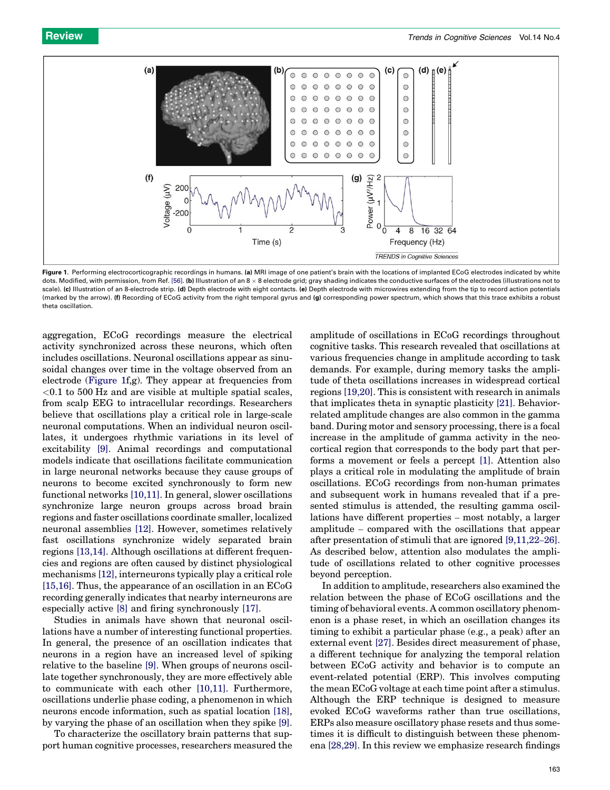<span id="page-1-0"></span>

Figure 1. Performing electrocorticographic recordings in humans. (a) MRI image of one patient's brain with the locations of implanted ECoG electrodes indicated by white dots. Modified, with permission, from Ref. [\[56\]](#page-8-0). (b) Illustration of an 8 x 8 electrode grid; gray shading indicates the conductive surfaces of the electrodes (illustrations not to scale). (c) Illustration of an 8-electrode strip. (d) Depth electrode with eight contacts. (e) Depth electrode with microwires extending from the tip to record action potentials (marked by the arrow). (f) Recording of ECoG activity from the right temporal gyrus and (g) corresponding power spectrum, which shows that this trace exhibits a robust theta oscillation.

aggregation, ECoG recordings measure the electrical activity synchronized across these neurons, which often includes oscillations. Neuronal oscillations appear as sinusoidal changes over time in the voltage observed from an electrode (Figure 1f,g). They appear at frequencies from  $< 0.1$  to 500 Hz and are visible at multiple spatial scales, from scalp EEG to intracellular recordings. Researchers believe that oscillations play a critical role in large-scale neuronal computations. When an individual neuron oscillates, it undergoes rhythmic variations in its level of excitability [\[9\].](#page-7-0) Animal recordings and computational models indicate that oscillations facilitate communication in large neuronal networks because they cause groups of neurons to become excited synchronously to form new functional networks [\[10,11\].](#page-7-0) In general, slower oscillations synchronize large neuron groups across broad brain regions and faster oscillations coordinate smaller, localized neuronal assemblies [\[12\]](#page-7-0). However, sometimes relatively fast oscillations synchronize widely separated brain regions [\[13,14\]](#page-7-0). Although oscillations at different frequencies and regions are often caused by distinct physiological mechanisms [\[12\],](#page-7-0) interneurons typically play a critical role [\[15,16\]](#page-7-0). Thus, the appearance of an oscillation in an ECoG recording generally indicates that nearby interneurons are especially active [\[8\]](#page-7-0) and firing synchronously [\[17\].](#page-7-0)

Studies in animals have shown that neuronal oscillations have a number of interesting functional properties. In general, the presence of an oscillation indicates that neurons in a region have an increased level of spiking relative to the baseline [\[9\].](#page-7-0) When groups of neurons oscillate together synchronously, they are more effectively able to communicate with each other [\[10,11\].](#page-7-0) Furthermore, oscillations underlie phase coding, a phenomenon in which neurons encode information, such as spatial location [\[18\]](#page-7-0), by varying the phase of an oscillation when they spike [\[9\]](#page-7-0).

To characterize the oscillatory brain patterns that support human cognitive processes, researchers measured the

amplitude of oscillations in ECoG recordings throughout cognitive tasks. This research revealed that oscillations at various frequencies change in amplitude according to task demands. For example, during memory tasks the amplitude of theta oscillations increases in widespread cortical regions [\[19,20\].](#page-7-0) This is consistent with research in animals that implicates theta in synaptic plasticity [\[21\]](#page-8-0). Behaviorrelated amplitude changes are also common in the gamma band. During motor and sensory processing, there is a focal increase in the amplitude of gamma activity in the neocortical region that corresponds to the body part that performs a movement or feels a percept [\[1\].](#page-7-0) Attention also plays a critical role in modulating the amplitude of brain oscillations. ECoG recordings from non-human primates and subsequent work in humans revealed that if a presented stimulus is attended, the resulting gamma oscillations have different properties – most notably, a larger amplitude – compared with the oscillations that appear after presentation of stimuli that are ignored [\[9,11,22](#page-7-0)–26]. As described below, attention also modulates the amplitude of oscillations related to other cognitive processes beyond perception.

In addition to amplitude, researchers also examined the relation between the phase of ECoG oscillations and the timing of behavioral events. A common oscillatory phenomenon is a phase reset, in which an oscillation changes its timing to exhibit a particular phase (e.g., a peak) after an external event [\[27\]](#page-8-0). Besides direct measurement of phase, a different technique for analyzing the temporal relation between ECoG activity and behavior is to compute an event-related potential (ERP). This involves computing the mean ECoG voltage at each time point after a stimulus. Although the ERP technique is designed to measure evoked ECoG waveforms rather than true oscillations, ERPs also measure oscillatory phase resets and thus sometimes it is difficult to distinguish between these phenomena [\[28,29\].](#page-8-0) In this review we emphasize research findings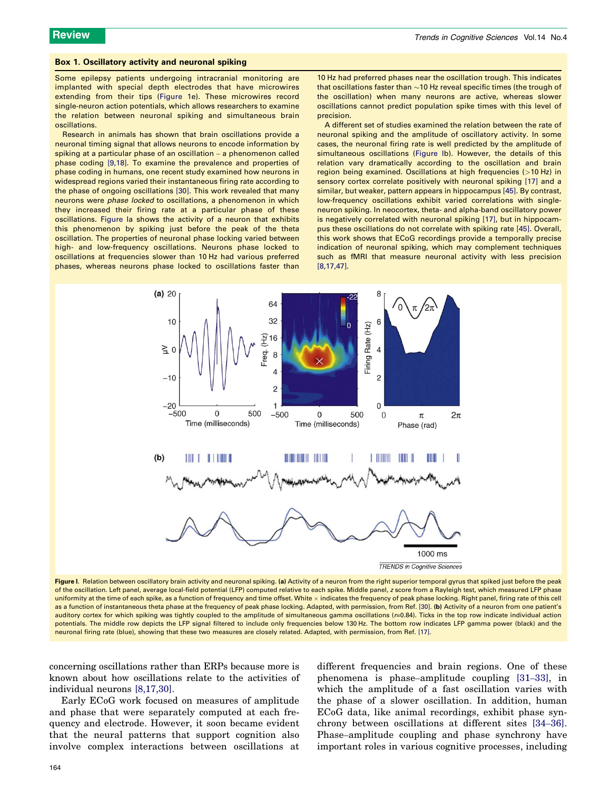#### <span id="page-2-0"></span>Box 1. Oscillatory activity and neuronal spiking

Some epilepsy patients undergoing intracranial monitoring are implanted with special depth electrodes that have microwires extending from their tips [\(Figure 1](#page-1-0)e). These microwires record single-neuron action potentials, which allows researchers to examine the relation between neuronal spiking and simultaneous brain oscillations.

Research in animals has shown that brain oscillations provide a neuronal timing signal that allows neurons to encode information by spiking at a particular phase of an oscillation – a phenomenon called phase coding [\[9,18\]](#page-7-0). To examine the prevalence and properties of phase coding in humans, one recent study examined how neurons in widespread regions varied their instantaneous firing rate according to the phase of ongoing oscillations [\[30\].](#page-8-0) This work revealed that many neurons were phase locked to oscillations, a phenomenon in which they increased their firing rate at a particular phase of these oscillations. Figure Ia shows the activity of a neuron that exhibits this phenomenon by spiking just before the peak of the theta oscillation. The properties of neuronal phase locking varied between high- and low-frequency oscillations. Neurons phase locked to oscillations at frequencies slower than 10 Hz had various preferred phases, whereas neurons phase locked to oscillations faster than 10 Hz had preferred phases near the oscillation trough. This indicates that oscillations faster than  ${\sim}$ 10 Hz reveal specific times (the trough of the oscillation) when many neurons are active, whereas slower oscillations cannot predict population spike times with this level of precision.

A different set of studies examined the relation between the rate of neuronal spiking and the amplitude of oscillatory activity. In some cases, the neuronal firing rate is well predicted by the amplitude of simultaneous oscillations (Figure Ib). However, the details of this relation vary dramatically according to the oscillation and brain region being examined. Oscillations at high frequencies (>10 Hz) in sensory cortex correlate positively with neuronal spiking [\[17\]](#page-7-0) and a similar, but weaker, pattern appears in hippocampus [\[45\]](#page-8-0). By contrast, low-frequency oscillations exhibit varied correlations with singleneuron spiking. In neocortex, theta- and alpha-band oscillatory power is negatively correlated with neuronal spiking [\[17\],](#page-7-0) but in hippocampus these oscillations do not correlate with spiking rate [\[45\]](#page-8-0). Overall, this work shows that ECoG recordings provide a temporally precise indication of neuronal spiking, which may complement techniques such as fMRI that measure neuronal activity with less precision [\[8,17,47\]](#page-7-0).



Figure I. Relation between oscillatory brain activity and neuronal spiking. (a) Activity of a neuron from the right superior temporal gyrus that spiked just before the peak of the oscillation. Left panel, average local-field potential (LFP) computed relative to each spike. Middle panel, z score from a Rayleigh test, which measured LFP phase uniformity at the time of each spike, as a function of frequency and time offset. White x indicates the frequency of peak phase locking. Right panel, firing rate of this cell as a function of instantaneous theta phase at the frequency of peak phase locking. Adapted, with permission, from Ref. [\[30\]](#page-8-0). (b) Activity of a neuron from one patient's auditory cortex for which spiking was tightly coupled to the amplitude of simultaneous gamma oscillations (r=0.84). Ticks in the top row indicate individual action potentials. The middle row depicts the LFP signal filtered to include only frequencies below 130 Hz. The bottom row indicates LFP gamma power (black) and the neuronal firing rate (blue), showing that these two measures are closely related. Adapted, with permission, from Ref. [\[17\]](#page-7-0).

concerning oscillations rather than ERPs because more is known about how oscillations relate to the activities of individual neurons [\[8,17,30\].](#page-7-0)

Early ECoG work focused on measures of amplitude and phase that were separately computed at each frequency and electrode. However, it soon became evident that the neural patterns that support cognition also involve complex interactions between oscillations at different frequencies and brain regions. One of these phenomena is phase–amplitude coupling [31–[33\]](#page-8-0), in which the amplitude of a fast oscillation varies with the phase of a slower oscillation. In addition, human ECoG data, like animal recordings, exhibit phase synchrony between oscillations at different sites [34–[36\]](#page-8-0). Phase–amplitude coupling and phase synchrony have important roles in various cognitive processes, including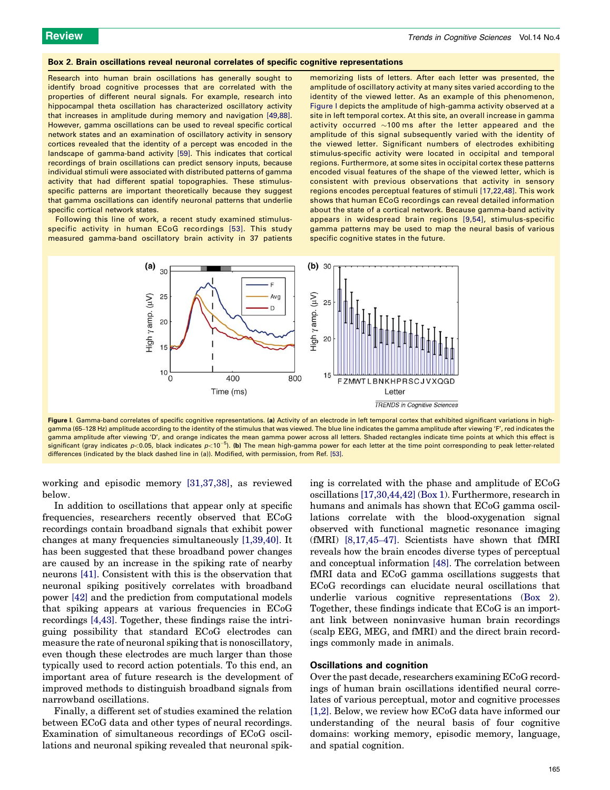#### <span id="page-3-0"></span>Box 2. Brain oscillations reveal neuronal correlates of specific cognitive representations

Research into human brain oscillations has generally sought to identify broad cognitive processes that are correlated with the properties of different neural signals. For example, research into hippocampal theta oscillation has characterized oscillatory activity that increases in amplitude during memory and navigation [\[49,88\]](#page-8-0). However, gamma oscillations can be used to reveal specific cortical network states and an examination of oscillatory activity in sensory cortices revealed that the identity of a percept was encoded in the landscape of gamma-band activity [\[59\]](#page-8-0). This indicates that cortical recordings of brain oscillations can predict sensory inputs, because individual stimuli were associated with distributed patterns of gamma activity that had different spatial topographies. These stimulusspecific patterns are important theoretically because they suggest that gamma oscillations can identify neuronal patterns that underlie specific cortical network states.

Following this line of work, a recent study examined stimulusspecific activity in human ECoG recordings [\[53\]](#page-8-0). This study measured gamma-band oscillatory brain activity in 37 patients

memorizing lists of letters. After each letter was presented, the amplitude of oscillatory activity at many sites varied according to the identity of the viewed letter. As an example of this phenomenon, Figure I depicts the amplitude of high-gamma activity observed at a site in left temporal cortex. At this site, an overall increase in gamma activity occurred  $\sim$ 100 ms after the letter appeared and the amplitude of this signal subsequently varied with the identity of the viewed letter. Significant numbers of electrodes exhibiting stimulus-specific activity were located in occipital and temporal regions. Furthermore, at some sites in occipital cortex these patterns encoded visual features of the shape of the viewed letter, which is consistent with previous observations that activity in sensory regions encodes perceptual features of stimuli [\[17,22,48\]](#page-7-0). This work shows that human ECoG recordings can reveal detailed information about the state of a cortical network. Because gamma-band activity appears in widespread brain regions [\[9,54\],](#page-7-0) stimulus-specific gamma patterns may be used to map the neural basis of various specific cognitive states in the future.



Figure I. Gamma-band correlates of specific cognitive representations. (a) Activity of an electrode in left temporal cortex that exhibited significant variations in highgamma (65-128 Hz) amplitude according to the identity of the stimulus that was viewed. The blue line indicates the gamma amplitude after viewing 'F', red indicates the gamma amplitude after viewing 'D', and orange indicates the mean gamma power across all letters. Shaded rectangles indicate time points at which this effect is significant (gray indicates p<0.05, black indicates p<10<sup>-5</sup>). (**b**) The mean high-gamma power for each letter at the time point corresponding to peak letter-related differences (indicated by the black dashed line in (a)). Modified, with permission, from Ref. [\[53\]](#page-8-0).

working and episodic memory [\[31,37,38\]](#page-8-0), as reviewed below.

In addition to oscillations that appear only at specific frequencies, researchers recently observed that ECoG recordings contain broadband signals that exhibit power changes at many frequencies simultaneously [\[1,39,40\]](#page-7-0). It has been suggested that these broadband power changes are caused by an increase in the spiking rate of nearby neurons [\[41\]](#page-8-0). Consistent with this is the observation that neuronal spiking positively correlates with broadband power [\[42\]](#page-8-0) and the prediction from computational models that spiking appears at various frequencies in ECoG recordings [\[4,43\]](#page-7-0). Together, these findings raise the intriguing possibility that standard ECoG electrodes can measure the rate of neuronal spiking that is nonoscillatory, even though these electrodes are much larger than those typically used to record action potentials. To this end, an important area of future research is the development of improved methods to distinguish broadband signals from narrowband oscillations.

Finally, a different set of studies examined the relation between ECoG data and other types of neural recordings. Examination of simultaneous recordings of ECoG oscillations and neuronal spiking revealed that neuronal spiking is correlated with the phase and amplitude of ECoG oscillations [\[17,30,44,42\]](#page-7-0) ([Box 1](#page-2-0)). Furthermore, research in humans and animals has shown that ECoG gamma oscillations correlate with the blood-oxygenation signal observed with functional magnetic resonance imaging (fMRI) [\[8,17,45](#page-7-0)–47]. Scientists have shown that fMRI reveals how the brain encodes diverse types of perceptual and conceptual information [\[48\]](#page-8-0). The correlation between fMRI data and ECoG gamma oscillations suggests that ECoG recordings can elucidate neural oscillations that underlie various cognitive representations (Box 2). Together, these findings indicate that ECoG is an important link between noninvasive human brain recordings (scalp EEG, MEG, and fMRI) and the direct brain recordings commonly made in animals.

# Oscillations and cognition

Over the past decade, researchers examining ECoG recordings of human brain oscillations identified neural correlates of various perceptual, motor and cognitive processes [\[1,2\].](#page-7-0) Below, we review how ECoG data have informed our understanding of the neural basis of four cognitive domains: working memory, episodic memory, language, and spatial cognition.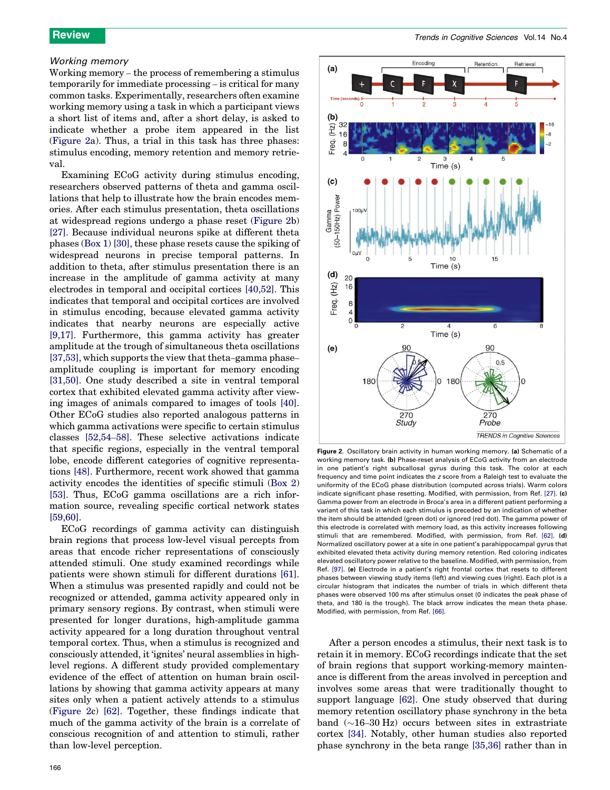# <span id="page-4-0"></span>Working memory

Working memory – the process of remembering a stimulus temporarily for immediate processing – is critical for many common tasks. Experimentally, researchers often examine working memory using a task in which a participant views a short list of items and, after a short delay, is asked to indicate whether a probe item appeared in the list (Figure 2a). Thus, a trial in this task has three phases: stimulus encoding, memory retention and memory retrieval.

Examining ECoG activity during stimulus encoding, researchers observed patterns of theta and gamma oscillations that help to illustrate how the brain encodes memories. After each stimulus presentation, theta oscillations at widespread regions undergo a phase reset (Figure 2b) [\[27\]](#page-8-0). Because individual neurons spike at different theta phases ([Box 1\)](#page-2-0) [\[30\]](#page-8-0), these phase resets cause the spiking of widespread neurons in precise temporal patterns. In addition to theta, after stimulus presentation there is an increase in the amplitude of gamma activity at many electrodes in temporal and occipital cortices [\[40,52\].](#page-8-0) This indicates that temporal and occipital cortices are involved in stimulus encoding, because elevated gamma activity indicates that nearby neurons are especially active [\[9,17\].](#page-7-0) Furthermore, this gamma activity has greater amplitude at the trough of simultaneous theta oscillations [\[37,53\]](#page-8-0), which supports the view that theta–gamma phase– amplitude coupling is important for memory encoding [\[31,50\]](#page-8-0). One study described a site in ventral temporal cortex that exhibited elevated gamma activity after viewing images of animals compared to images of tools [\[40\]](#page-8-0). Other ECoG studies also reported analogous patterns in which gamma activations were specific to certain stimulus classes [\[52,54](#page-8-0)–58]. These selective activations indicate that specific regions, especially in the ventral temporal lobe, encode different categories of cognitive representations [\[48\]](#page-8-0). Furthermore, recent work showed that gamma activity encodes the identities of specific stimuli ([Box 2\)](#page-3-0) [\[53\]](#page-8-0). Thus, ECoG gamma oscillations are a rich information source, revealing specific cortical network states [\[59,60\]](#page-8-0).

ECoG recordings of gamma activity can distinguish brain regions that process low-level visual percepts from areas that encode richer representations of consciously attended stimuli. One study examined recordings while patients were shown stimuli for different durations [\[61\]](#page-8-0). When a stimulus was presented rapidly and could not be recognized or attended, gamma activity appeared only in primary sensory regions. By contrast, when stimuli were presented for longer durations, high-amplitude gamma activity appeared for a long duration throughout ventral temporal cortex. Thus, when a stimulus is recognized and consciously attended, it 'ignites' neural assemblies in highlevel regions. A different study provided complementary evidence of the effect of attention on human brain oscillations by showing that gamma activity appears at many sites only when a patient actively attends to a stimulus (Figure 2c) [\[62\]](#page-8-0). Together, these findings indicate that much of the gamma activity of the brain is a correlate of conscious recognition of and attention to stimuli, rather than low-level perception.



Figure 2. Oscillatory brain activity in human working memory. (a) Schematic of a working memory task. (b) Phase-reset analysis of ECoG activity from an electrode in one patient's right subcallosal gyrus during this task. The color at each frequency and time point indicates the z score from a Raleigh test to evaluate the uniformity of the ECoG phase distribution (computed across trials). Warm colors indicate significant phase resetting. Modified, with permission, from Ref. [\[27\]](#page-8-0). (c) Gamma power from an electrode in Broca's area in a different patient performing a variant of this task in which each stimulus is preceded by an indication of whether the item should be attended (green dot) or ignored (red dot). The gamma power of this electrode is correlated with memory load, as this activity increases following stimuli that are remembered. Modified, with permission, from Ref. [\[62\]](#page-8-0). (d) Normalized oscillatory power at a site in one patient's parahippocampal gyrus that exhibited elevated theta activity during memory retention. Red coloring indicates elevated oscillatory power relative to the baseline. Modified, with permission, from Ref. [\[97\].](#page-9-0) (e) Electrode in a patient's right frontal cortex that resets to different phases between viewing study items (left) and viewing cues (right). Each plot is a circular histogram that indicates the number of trials in which different theta phases were observed 100 ms after stimulus onset (0 indicates the peak phase of theta, and 180 is the trough). The black arrow indicates the mean theta phase. Modified, with permission, from Ref. [\[66\]](#page-8-0).

After a person encodes a stimulus, their next task is to retain it in memory. ECoG recordings indicate that the set of brain regions that support working-memory maintenance is different from the areas involved in perception and involves some areas that were traditionally thought to support language [\[62\]](#page-8-0). One study observed that during memory retention oscillatory phase synchrony in the beta band  $(\sim]16-30$  Hz) occurs between sites in extrastriate cortex [\[34\].](#page-8-0) Notably, other human studies also reported phase synchrony in the beta range [\[35,36\]](#page-8-0) rather than in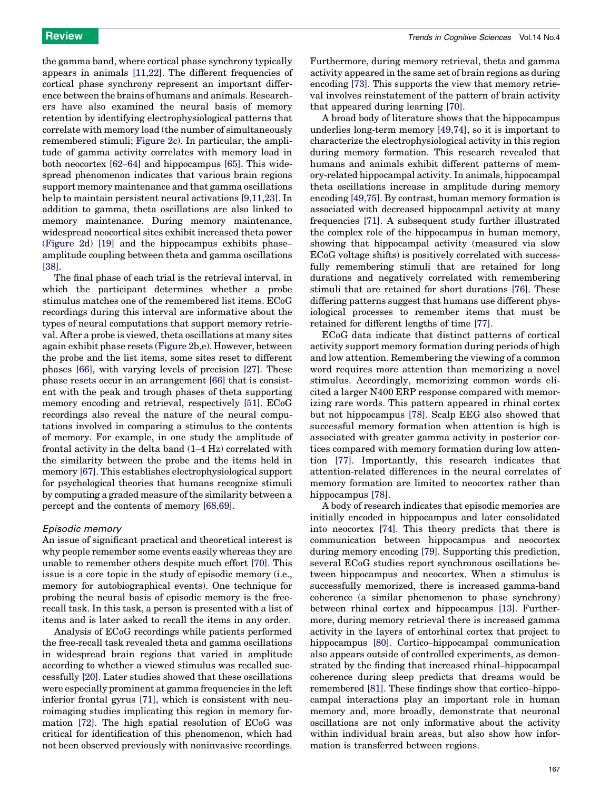the gamma band, where cortical phase synchrony typically appears in animals [\[11,22\].](#page-7-0) The different frequencies of cortical phase synchrony represent an important difference between the brains of humans and animals. Researchers have also examined the neural basis of memory retention by identifying electrophysiological patterns that correlate with memory load (the number of simultaneously remembered stimuli; [Figure 2c](#page-4-0)). In particular, the amplitude of gamma activity correlates with memory load in both neocortex [62–[64\]](#page-8-0) and hippocampus [\[65\].](#page-8-0) This widespread phenomenon indicates that various brain regions support memory maintenance and that gamma oscillations help to maintain persistent neural activations [\[9,11,23\]](#page-7-0). In addition to gamma, theta oscillations are also linked to memory maintenance. During memory maintenance, widespread neocortical sites exhibit increased theta power ([Figure 2d](#page-4-0)) [\[19\]](#page-7-0) and the hippocampus exhibits phase– amplitude coupling between theta and gamma oscillations [\[38\]](#page-8-0).

The final phase of each trial is the retrieval interval, in which the participant determines whether a probe stimulus matches one of the remembered list items. ECoG recordings during this interval are informative about the types of neural computations that support memory retrieval. After a probe is viewed, theta oscillations at many sites again exhibit phase resets ([Figure 2b](#page-4-0),e). However, between the probe and the list items, some sites reset to different phases [\[66\],](#page-8-0) with varying levels of precision [\[27\]](#page-8-0). These phase resets occur in an arrangement [\[66\]](#page-8-0) that is consistent with the peak and trough phases of theta supporting memory encoding and retrieval, respectively [\[51\]](#page-8-0). ECoG recordings also reveal the nature of the neural computations involved in comparing a stimulus to the contents of memory. For example, in one study the amplitude of frontal activity in the delta band (1–4 Hz) correlated with the similarity between the probe and the items held in memory [\[67\].](#page-8-0) This establishes electrophysiological support for psychological theories that humans recognize stimuli by computing a graded measure of the similarity between a percept and the contents of memory [\[68,69\].](#page-8-0)

#### Episodic memory

An issue of significant practical and theoretical interest is why people remember some events easily whereas they are unable to remember others despite much effort [\[70\].](#page-8-0) This issue is a core topic in the study of episodic memory (i.e., memory for autobiographical events). One technique for probing the neural basis of episodic memory is the freerecall task. In this task, a person is presented with a list of items and is later asked to recall the items in any order.

Analysis of ECoG recordings while patients performed the free-recall task revealed theta and gamma oscillations in widespread brain regions that varied in amplitude according to whether a viewed stimulus was recalled successfully [\[20\].](#page-8-0) Later studies showed that these oscillations were especially prominent at gamma frequencies in the left inferior frontal gyrus [\[71\]](#page-8-0), which is consistent with neuroimaging studies implicating this region in memory formation [\[72\].](#page-8-0) The high spatial resolution of ECoG was critical for identification of this phenomenon, which had not been observed previously with noninvasive recordings. Furthermore, during memory retrieval, theta and gamma activity appeared in the same set of brain regions as during encoding [\[73\]](#page-8-0). This supports the view that memory retrieval involves reinstatement of the pattern of brain activity that appeared during learning [\[70\].](#page-8-0)

A broad body of literature shows that the hippocampus underlies long-term memory [\[49,74\]](#page-8-0), so it is important to characterize the electrophysiological activity in this region during memory formation. This research revealed that humans and animals exhibit different patterns of memory-related hippocampal activity. In animals, hippocampal theta oscillations increase in amplitude during memory encoding [\[49,75\].](#page-8-0) By contrast, human memory formation is associated with decreased hippocampal activity at many frequencies [\[71\].](#page-8-0) A subsequent study further illustrated the complex role of the hippocampus in human memory, showing that hippocampal activity (measured via slow ECoG voltage shifts) is positively correlated with successfully remembering stimuli that are retained for long durations and negatively correlated with remembering stimuli that are retained for short durations [\[76\]](#page-8-0). These differing patterns suggest that humans use different physiological processes to remember items that must be retained for different lengths of time [\[77\].](#page-9-0)

ECoG data indicate that distinct patterns of cortical activity support memory formation during periods of high and low attention. Remembering the viewing of a common word requires more attention than memorizing a novel stimulus. Accordingly, memorizing common words elicited a larger N400 ERP response compared with memorizing rare words. This pattern appeared in rhinal cortex but not hippocampus [\[78\]](#page-9-0). Scalp EEG also showed that successful memory formation when attention is high is associated with greater gamma activity in posterior cortices compared with memory formation during low attention [\[77\]](#page-9-0). Importantly, this research indicates that attention-related differences in the neural correlates of memory formation are limited to neocortex rather than hippocampus [\[78\].](#page-9-0)

A body of research indicates that episodic memories are initially encoded in hippocampus and later consolidated into neocortex [\[74\]](#page-8-0). This theory predicts that there is communication between hippocampus and neocortex during memory encoding [\[79\].](#page-9-0) Supporting this prediction, several ECoG studies report synchronous oscillations between hippocampus and neocortex. When a stimulus is successfully memorized, there is increased gamma-band coherence (a similar phenomenon to phase synchrony) between rhinal cortex and hippocampus [\[13\]](#page-7-0). Furthermore, during memory retrieval there is increased gamma activity in the layers of entorhinal cortex that project to hippocampus [\[80\]](#page-9-0). Cortico–hippocampal communication also appears outside of controlled experiments, as demonstrated by the finding that increased rhinal–hippocampal coherence during sleep predicts that dreams would be remembered [\[81\]](#page-9-0). These findings show that cortico–hippocampal interactions play an important role in human memory and, more broadly, demonstrate that neuronal oscillations are not only informative about the activity within individual brain areas, but also show how information is transferred between regions.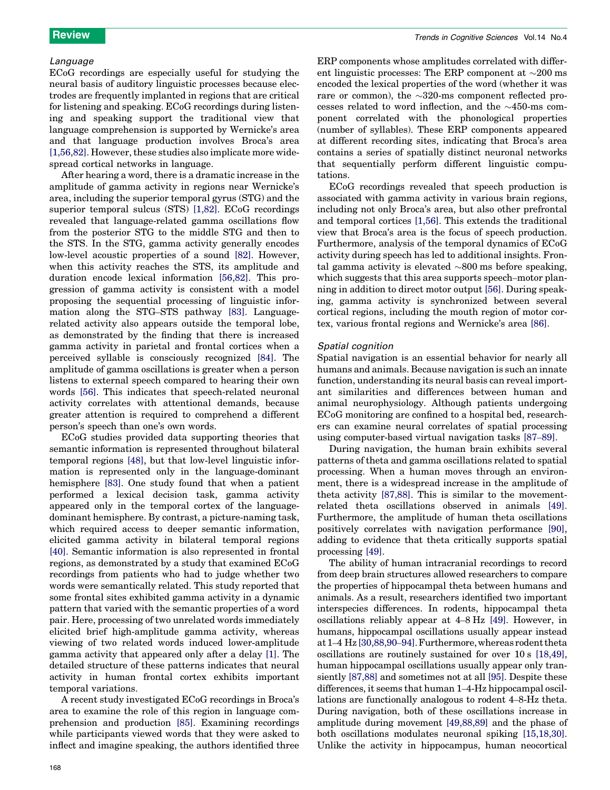### Language

ECoG recordings are especially useful for studying the neural basis of auditory linguistic processes because electrodes are frequently implanted in regions that are critical for listening and speaking. ECoG recordings during listening and speaking support the traditional view that language comprehension is supported by Wernicke's area and that language production involves Broca's area [\[1,56,82\].](#page-7-0) However, these studies also implicate more widespread cortical networks in language.

After hearing a word, there is a dramatic increase in the amplitude of gamma activity in regions near Wernicke's area, including the superior temporal gyrus (STG) and the superior temporal sulcus (STS) [\[1,82\]](#page-7-0). ECoG recordings revealed that language-related gamma oscillations flow from the posterior STG to the middle STG and then to the STS. In the STG, gamma activity generally encodes low-level acoustic properties of a sound [\[82\]](#page-9-0). However, when this activity reaches the STS, its amplitude and duration encode lexical information [\[56,82\]](#page-8-0). This progression of gamma activity is consistent with a model proposing the sequential processing of linguistic information along the STG–STS pathway [\[83\].](#page-9-0) Languagerelated activity also appears outside the temporal lobe, as demonstrated by the finding that there is increased gamma activity in parietal and frontal cortices when a perceived syllable is consciously recognized [\[84\].](#page-9-0) The amplitude of gamma oscillations is greater when a person listens to external speech compared to hearing their own words [\[56\].](#page-8-0) This indicates that speech-related neuronal activity correlates with attentional demands, because greater attention is required to comprehend a different person's speech than one's own words.

ECoG studies provided data supporting theories that semantic information is represented throughout bilateral temporal regions [\[48\]](#page-8-0), but that low-level linguistic information is represented only in the language-dominant hemisphere [\[83\].](#page-9-0) One study found that when a patient performed a lexical decision task, gamma activity appeared only in the temporal cortex of the languagedominant hemisphere. By contrast, a picture-naming task, which required access to deeper semantic information, elicited gamma activity in bilateral temporal regions [\[40\]](#page-8-0). Semantic information is also represented in frontal regions, as demonstrated by a study that examined ECoG recordings from patients who had to judge whether two words were semantically related. This study reported that some frontal sites exhibited gamma activity in a dynamic pattern that varied with the semantic properties of a word pair. Here, processing of two unrelated words immediately elicited brief high-amplitude gamma activity, whereas viewing of two related words induced lower-amplitude gamma activity that appeared only after a delay [\[1\]](#page-7-0). The detailed structure of these patterns indicates that neural activity in human frontal cortex exhibits important temporal variations.

A recent study investigated ECoG recordings in Broca's area to examine the role of this region in language comprehension and production [\[85\].](#page-9-0) Examining recordings while participants viewed words that they were asked to inflect and imagine speaking, the authors identified three ERP components whose amplitudes correlated with different linguistic processes: The ERP component at  $\sim$ 200 ms encoded the lexical properties of the word (whether it was rare or common), the  $\sim$ 320-ms component reflected processes related to word inflection, and the  $\sim$ 450-ms component correlated with the phonological properties (number of syllables). These ERP components appeared at different recording sites, indicating that Broca's area contains a series of spatially distinct neuronal networks that sequentially perform different linguistic computations.

ECoG recordings revealed that speech production is associated with gamma activity in various brain regions, including not only Broca's area, but also other prefrontal and temporal cortices [\[1,56\].](#page-7-0) This extends the traditional view that Broca's area is the focus of speech production. Furthermore, analysis of the temporal dynamics of ECoG activity during speech has led to additional insights. Frontal gamma activity is elevated  $\sim 800$  ms before speaking, which suggests that this area supports speech–motor planning in addition to direct motor output [\[56\]](#page-8-0). During speaking, gamma activity is synchronized between several cortical regions, including the mouth region of motor cortex, various frontal regions and Wernicke's area [\[86\]](#page-9-0).

#### Spatial cognition

Spatial navigation is an essential behavior for nearly all humans and animals. Because navigation is such an innate function, understanding its neural basis can reveal important similarities and differences between human and animal neurophysiology. Although patients undergoing ECoG monitoring are confined to a hospital bed, researchers can examine neural correlates of spatial processing using computer-based virtual navigation tasks [87–[89\].](#page-9-0)

During navigation, the human brain exhibits several patterns of theta and gamma oscillations related to spatial processing. When a human moves through an environment, there is a widespread increase in the amplitude of theta activity [\[87,88\]](#page-9-0). This is similar to the movementrelated theta oscillations observed in animals [\[49\]](#page-8-0). Furthermore, the amplitude of human theta oscillations positively correlates with navigation performance [\[90\]](#page-9-0), adding to evidence that theta critically supports spatial processing [\[49\].](#page-8-0)

The ability of human intracranial recordings to record from deep brain structures allowed researchers to compare the properties of hippocampal theta between humans and animals. As a result, researchers identified two important interspecies differences. In rodents, hippocampal theta oscillations reliably appear at 4–8 Hz [\[49\]](#page-8-0). However, in humans, hippocampal oscillations usually appear instead at 1–4 Hz [\[30,88,90](#page-8-0)–94]. Furthermore, whereas rodent theta oscillations are routinely sustained for over 10 s [\[18,49\]](#page-7-0), human hippocampal oscillations usually appear only transiently [\[87,88\]](#page-9-0) and sometimes not at all [\[95\]](#page-9-0). Despite these differences, it seems that human 1–4-Hz hippocampal oscillations are functionally analogous to rodent 4–8-Hz theta. During navigation, both of these oscillations increase in amplitude during movement [\[49,88,89\]](#page-8-0) and the phase of both oscillations modulates neuronal spiking [\[15,18,30\]](#page-7-0). Unlike the activity in hippocampus, human neocortical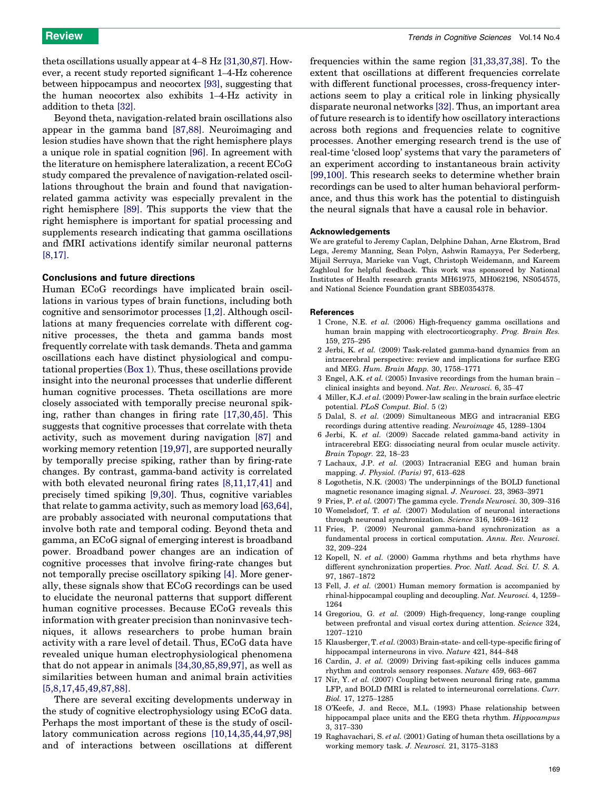<span id="page-7-0"></span>theta oscillations usually appear at 4–8 Hz [\[31,30,87\]](#page-8-0). However, a recent study reported significant 1–4-Hz coherence between hippocampus and neocortex [\[93\],](#page-9-0) suggesting that the human neocortex also exhibits 1–4-Hz activity in addition to theta [\[32\].](#page-8-0)

Beyond theta, navigation-related brain oscillations also appear in the gamma band [\[87,88\].](#page-9-0) Neuroimaging and lesion studies have shown that the right hemisphere plays a unique role in spatial cognition [\[96\].](#page-9-0) In agreement with the literature on hemisphere lateralization, a recent ECoG study compared the prevalence of navigation-related oscillations throughout the brain and found that navigationrelated gamma activity was especially prevalent in the right hemisphere [\[89\]](#page-9-0). This supports the view that the right hemisphere is important for spatial processing and supplements research indicating that gamma oscillations and fMRI activations identify similar neuronal patterns [8,17].

#### Conclusions and future directions

Human ECoG recordings have implicated brain oscillations in various types of brain functions, including both cognitive and sensorimotor processes [1,2]. Although oscillations at many frequencies correlate with different cognitive processes, the theta and gamma bands most frequently correlate with task demands. Theta and gamma oscillations each have distinct physiological and computational properties ([Box 1](#page-2-0)). Thus, these oscillations provide insight into the neuronal processes that underlie different human cognitive processes. Theta oscillations are more closely associated with temporally precise neuronal spiking, rather than changes in firing rate [17,30,45]. This suggests that cognitive processes that correlate with theta activity, such as movement during navigation [\[87\]](#page-9-0) and working memory retention [19,97], are supported neurally by temporally precise spiking, rather than by firing-rate changes. By contrast, gamma-band activity is correlated with both elevated neuronal firing rates [8,11,17,41] and precisely timed spiking [9,30]. Thus, cognitive variables that relate to gamma activity, such as memory load [\[63,64\]](#page-8-0), are probably associated with neuronal computations that involve both rate and temporal coding. Beyond theta and gamma, an ECoG signal of emerging interest is broadband power. Broadband power changes are an indication of cognitive processes that involve firing-rate changes but not temporally precise oscillatory spiking [4]. More generally, these signals show that ECoG recordings can be used to elucidate the neuronal patterns that support different human cognitive processes. Because ECoG reveals this information with greater precision than noninvasive techniques, it allows researchers to probe human brain activity with a rare level of detail. Thus, ECoG data have revealed unique human electrophysiological phenomena that do not appear in animals [\[34,30,85,89,97\],](#page-8-0) as well as similarities between human and animal brain activities [5,8,17,45,49,87,88].

There are several exciting developments underway in the study of cognitive electrophysiology using ECoG data. Perhaps the most important of these is the study of oscillatory communication across regions [10,14,35,44,97,98] and of interactions between oscillations at different

frequencies within the same region [\[31,33,37,38\]](#page-8-0). To the extent that oscillations at different frequencies correlate with different functional processes, cross-frequency interactions seem to play a critical role in linking physically disparate neuronal networks [\[32\].](#page-8-0) Thus, an important area of future research is to identify how oscillatory interactions across both regions and frequencies relate to cognitive processes. Another emerging research trend is the use of real-time 'closed loop' systems that vary the parameters of an experiment according to instantaneous brain activity [\[99,100\]](#page-9-0). This research seeks to determine whether brain recordings can be used to alter human behavioral performance, and thus this work has the potential to distinguish the neural signals that have a causal role in behavior.

### Acknowledgements

We are grateful to Jeremy Caplan, Delphine Dahan, Arne Ekstrom, Brad Lega, Jeremy Manning, Sean Polyn, Ashwin Ramayya, Per Sederberg, Mijail Serruya, Marieke van Vugt, Christoph Weidemann, and Kareem Zaghloul for helpful feedback. This work was sponsored by National Institutes of Health research grants MH61975, MH062196, NS054575, and National Science Foundation grant SBE0354378.

#### References

- 1 Crone, N.E. et al. (2006) High-frequency gamma oscillations and human brain mapping with electrocorticography. Prog. Brain Res. 159, 275–295
- 2 Jerbi, K. et al. (2009) Task-related gamma-band dynamics from an intracerebral perspective: review and implications for surface EEG and MEG. Hum. Brain Mapp. 30, 1758–1771
- 3 Engel, A.K. et al. (2005) Invasive recordings from the human brain clinical insights and beyond. Nat. Rev. Neurosci. 6, 35–47
- 4 Miller, K.J. et al. (2009) Power-law scaling in the brain surface electric potential. PLoS Comput. Biol. 5 (2)
- 5 Dalal, S. et al. (2009) Simultaneous MEG and intracranial EEG recordings during attentive reading. Neuroimage 45, 1289–1304
- 6 Jerbi, K. et al. (2009) Saccade related gamma-band activity in intracerebral EEG: dissociating neural from ocular muscle activity. Brain Topogr. 22, 18–23
- 7 Lachaux, J.P. et al. (2003) Intracranial EEG and human brain mapping. J. Physiol. (Paris) 97, 613–628
- 8 Logothetis, N.K. (2003) The underpinnings of the BOLD functional magnetic resonance imaging signal. J. Neurosci. 23, 3963–3971
- 9 Fries, P. et al. (2007) The gamma cycle. Trends Neurosci. 30, 309–316
- 10 Womelsdorf, T. et al. (2007) Modulation of neuronal interactions through neuronal synchronization. Science 316, 1609–1612
- 11 Fries, P. (2009) Neuronal gamma-band synchronization as a fundamental process in cortical computation. Annu. Rev. Neurosci. 32, 209–224
- 12 Kopell, N. et al. (2000) Gamma rhythms and beta rhythms have different synchronization properties. Proc. Natl. Acad. Sci. U. S. A. 97, 1867–1872
- 13 Fell, J. et al. (2001) Human memory formation is accompanied by rhinal-hippocampal coupling and decoupling. Nat. Neurosci. 4, 1259– 1264
- 14 Gregoriou, G. et al. (2009) High-frequency, long-range coupling between prefrontal and visual cortex during attention. Science 324, 1207–1210
- 15 Klausberger, T. et al. (2003) Brain-state- and cell-type-specific firing of hippocampal interneurons in vivo. Nature 421, 844–848
- 16 Cardin, J. et al. (2009) Driving fast-spiking cells induces gamma rhythm and controls sensory responses. Nature 459, 663–667
- 17 Nir, Y. et al. (2007) Coupling between neuronal firing rate, gamma LFP, and BOLD fMRI is related to interneuronal correlations. Curr. Biol. 17, 1275–1285
- 18 O'Keefe, J. and Recce, M.L. (1993) Phase relationship between hippocampal place units and the EEG theta rhythm. Hippocampus 3, 317–330
- 19 Raghavachari, S. et al.  $(2001)$  Gating of human theta oscillations by a working memory task. J. Neurosci. 21, 3175–3183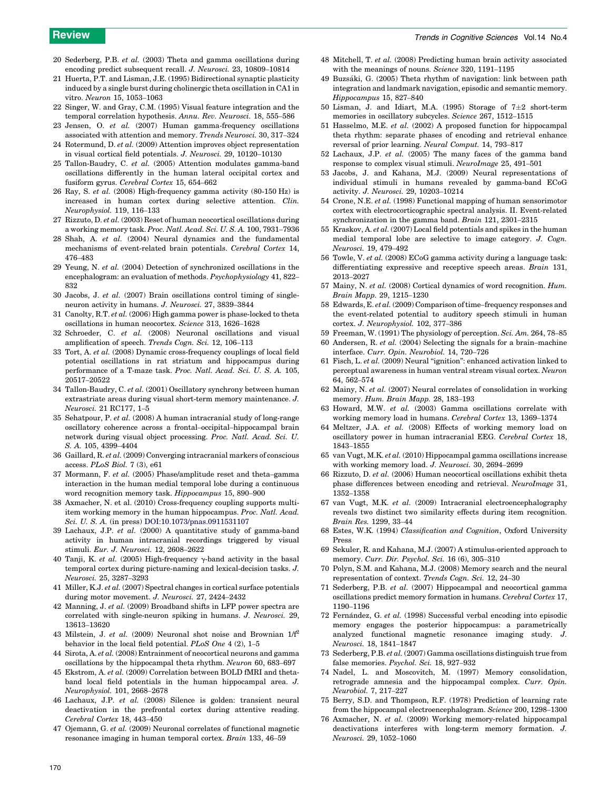- <span id="page-8-0"></span>20 Sederberg, P.B. et al. (2003) Theta and gamma oscillations during encoding predict subsequent recall. J. Neurosci. 23, 10809–10814
- 21 Huerta, P.T. and Lisman, J.E. (1995) Bidirectional synaptic plasticity induced by a single burst during cholinergic theta oscillation in CA1 in vitro. Neuron 15, 1053–1063
- 22 Singer, W. and Gray, C.M. (1995) Visual feature integration and the temporal correlation hypothesis. Annu. Rev. Neurosci. 18, 555–586
- 23 Jensen, O. et al. (2007) Human gamma-frequency oscillations associated with attention and memory. Trends Neurosci. 30, 317–324
- 24 Rotermund, D. et al. (2009) Attention improves object representation in visual cortical field potentials. J. Neurosci. 29, 10120–10130
- 25 Tallon-Baudry, C. et al. (2005) Attention modulates gamma-band oscillations differently in the human lateral occipital cortex and fusiform gyrus. Cerebral Cortex 15, 654–662
- 26 Ray, S. et al. (2008) High-frequency gamma activity  $(80-150 \text{ Hz})$  is increased in human cortex during selective attention. Clin. Neurophysiol. 119, 116–133
- 27 Rizzuto, D. et al. (2003) Reset of human neocortical oscillations during a working memory task. Proc. Natl. Acad. Sci. U. S. A. 100, 7931–7936
- 28 Shah, A. et al. (2004) Neural dynamics and the fundamental mechanisms of event-related brain potentials. Cerebral Cortex 14, 476–483
- 29 Yeung, N. et al. (2004) Detection of synchronized oscillations in the encephalogram: an evaluation of methods. Psychophysiology 41, 822– 832
- 30 Jacobs, J. et al. (2007) Brain oscillations control timing of singleneuron activity in humans. J. Neurosci. 27, 3839–3844
- 31 Canolty, R.T. et al. (2006) High gamma power is phase-locked to theta oscillations in human neocortex. Science 313, 1626–1628
- 32 Schroeder, C. et al. (2008) Neuronal oscillations and visual amplification of speech. Trends Cogn. Sci. 12, 106–113
- 33 Tort, A. et al. (2008) Dynamic cross-frequency couplings of local field potential oscillations in rat striatum and hippocampus during performance of a T-maze task. Proc. Natl. Acad. Sci. U. S. A. 105, 20517–20522
- 34 Tallon-Baudry, C. et al. (2001) Oscillatory synchrony between human extrastriate areas during visual short-term memory maintenance. J. Neurosci. 21 RC177, 1–5
- 35 Sehatpour, P. et al. (2008) A human intracranial study of long-range oscillatory coherence across a frontal–occipital–hippocampal brain network during visual object processing. Proc. Natl. Acad. Sci. U. S. A. 105, 4399–4404
- 36 Gaillard, R. et al. (2009) Converging intracranial markers of conscious access. PLoS Biol. 7 (3), e61
- 37 Mormann, F. et al. (2005) Phase/amplitude reset and theta–gamma interaction in the human medial temporal lobe during a continuous word recognition memory task. Hippocampus 15, 890–900
- 38 Axmacher, N. et al. (2010) Cross-frequency coupling supports multiitem working memory in the human hippocampus. Proc. Natl. Acad. Sci. U. S. A. (in press) [DOI:10.1073/pnas.0911531107](http://dx.doi.org/10.1073/pnas.0911531107)
- 39 Lachaux, J.P. et al. (2000) A quantitative study of gamma-band activity in human intracranial recordings triggered by visual stimuli. Eur. J. Neurosci. 12, 2608–2622
- 40 Tanji, K. et al. (2005) High-frequency  $\gamma$ -band activity in the basal temporal cortex during picture-naming and lexical-decision tasks. J. Neurosci. 25, 3287–3293
- 41 Miller, K.J. et al. (2007) Spectral changes in cortical surface potentials during motor movement. J. Neurosci. 27, 2424–2432
- 42 Manning, J. et al. (2009) Broadband shifts in LFP power spectra are correlated with single-neuron spiking in humans. J. Neurosci. 29, 13613–13620
- 43 Milstein, J. et al. (2009) Neuronal shot noise and Brownian  $1/f^2$ behavior in the local field potential. PLoS One 4 (2), 1–5
- 44 Sirota, A. et al. (2008) Entrainment of neocortical neurons and gamma oscillations by the hippocampal theta rhythm. Neuron 60, 683–697
- 45 Ekstrom, A. et al. (2009) Correlation between BOLD fMRI and thetaband local field potentials in the human hippocampal area. J. Neurophysiol. 101, 2668–2678
- 46 Lachaux, J.P. et al. (2008) Silence is golden: transient neural deactivation in the prefrontal cortex during attentive reading. Cerebral Cortex 18, 443–450
- 47 Ojemann, G. et al. (2009) Neuronal correlates of functional magnetic resonance imaging in human temporal cortex. Brain 133, 46–59
- 48 Mitchell, T. et al. (2008) Predicting human brain activity associated with the meanings of nouns. Science 320, 1191–1195
- 49 Buzsáki, G. (2005) Theta rhythm of navigation: link between path integration and landmark navigation, episodic and semantic memory. Hippocampus 15, 827–840
- 50 Lisman, J. and Idiart, M.A. (1995) Storage of  $7\pm2$  short-term memories in oscillatory subcycles. Science 267, 1512–1515
- 51 Hasselmo, M.E. et al. (2002) A proposed function for hippocampal theta rhythm: separate phases of encoding and retrieval enhance reversal of prior learning. Neural Comput. 14, 793–817
- 52 Lachaux, J.P. et al. (2005) The many faces of the gamma band response to complex visual stimuli. NeuroImage 25, 491–501
- 53 Jacobs, J. and Kahana, M.J. (2009) Neural representations of individual stimuli in humans revealed by gamma-band ECoG activity. J. Neurosci. 29, 10203–10214
- 54 Crone, N.E. et al. (1998) Functional mapping of human sensorimotor cortex with electrocorticographic spectral analysis. II. Event-related synchronization in the gamma band. Brain 121, 2301–2315
- 55 Kraskov, A. et al. (2007) Local field potentials and spikes in the human medial temporal lobe are selective to image category. J. Cogn. Neurosci. 19, 479–492
- 56 Towle, V. et al. (2008) ECoG gamma activity during a language task: differentiating expressive and receptive speech areas. Brain 131, 2013–2027
- 57 Mainy, N. et al. (2008) Cortical dynamics of word recognition. Hum. Brain Mapp. 29, 1215–1230
- 58 Edwards, E. et al. (2009) Comparison of time–frequency responses and the event-related potential to auditory speech stimuli in human cortex. J. Neurophysiol. 102, 377–386
- 59 Freeman, W. (1991) The physiology of perception. Sci. Am. 264, 78–85
- 60 Andersen, R. et al. (2004) Selecting the signals for a brain–machine interface. Curr. Opin. Neurobiol. 14, 720–726
- 61 Fisch, L. et al. (2009) Neural ''ignition'': enhanced activation linked to perceptual awareness in human ventral stream visual cortex. Neuron 64, 562–574
- 62 Mainy, N. et al. (2007) Neural correlates of consolidation in working memory. Hum. Brain Mapp. 28, 183–193
- 63 Howard, M.W. et al. (2003) Gamma oscillations correlate with working memory load in humans. Cerebral Cortex 13, 1369–1374
- 64 Meltzer, J.A. et al. (2008) Effects of working memory load on oscillatory power in human intracranial EEG. Cerebral Cortex 18, 1843–1855
- 65 van Vugt, M.K. et al. (2010) Hippocampal gamma oscillations increase with working memory load. J. Neurosci. 30, 2694–2699
- 66 Rizzuto, D. et al. (2006) Human neocortical oscillations exhibit theta phase differences between encoding and retrieval. NeuroImage 31, 1352–1358
- 67 van Vugt, M.K. et al. (2009) Intracranial electroencephalography reveals two distinct two similarity effects during item recognition. Brain Res. 1299, 33–44
- 68 Estes, W.K. (1994) Classification and Cognition, Oxford University Press
- 69 Sekuler, R. and Kahana, M.J. (2007) A stimulus-oriented approach to memory. Curr. Dir. Psychol. Sci. 16 (6), 305–310
- 70 Polyn, S.M. and Kahana, M.J. (2008) Memory search and the neural representation of context. Trends Cogn. Sci. 12, 24–30
- 71 Sederberg, P.B. et al. (2007) Hippocampal and neocortical gamma oscillations predict memory formation in humans. Cerebral Cortex 17, 1190–1196
- 72 Fernández, G. et al. (1998) Successful verbal encoding into episodic memory engages the posterior hippocampus: a parametrically analyzed functional magnetic resonance imaging study. J. Neurosci. 18, 1841–1847
- 73 Sederberg, P.B. et al. (2007) Gamma oscillations distinguish true from false memories. Psychol. Sci. 18, 927–932
- 74 Nadel, L. and Moscovitch, M. (1997) Memory consolidation, retrograde amnesia and the hippocampal complex. Curr. Opin. Neurobiol. 7, 217–227
- 75 Berry, S.D. and Thompson, R.F. (1978) Prediction of learning rate from the hippocampal electroencephalogram. Science 200, 1298–1300
- 76 Axmacher, N. et al. (2009) Working memory-related hippocampal deactivations interferes with long-term memory formation. J. Neurosci. 29, 1052–1060